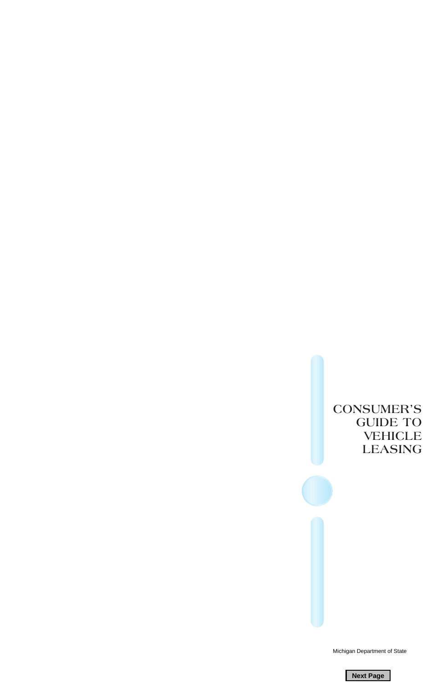# **CONSUMER'S GUIDE TO VEHICLE** LEASING



Michigan Department of State

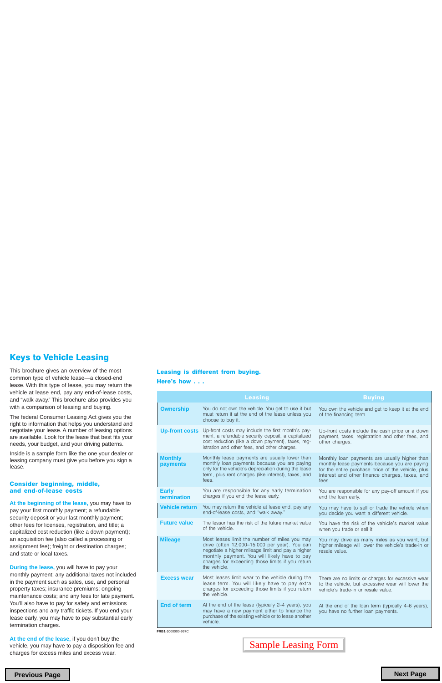## **Keys to Vehicle Leasing**

This brochure gives an overview of the most common type of vehicle lease-a closed-end lease. With this type of lease, you may return the vehicle at lease end, pay any end-of-lease costs, and "walk away." This brochure also provides you with a comparison of leasing and buving.

The federal Consumer Leasing Act gives you the right to information that helps you understand and negotiate your lease. A number of leasing options are available. Look for the lease that best fits your needs, your budget, and your driving patterns.

Inside is a sample form like the one your dealer or leasing company must give you before you sign a lease.

## **Consider beginning, middle,** and end-of-lease costs

At the beginning of the lease, you may have to pay your first monthly payment; a refundable security deposit or your last monthly payment: other fees for licenses, registration, and title; a capitalized cost reduction (like a down payment); an acquisition fee (also called a processing or assignment fee): freight or destination charges: and state or local taxes.

During the lease, you will have to pay your monthly payment; any additional taxes not included in the payment such as sales, use, and personal property taxes; insurance premiums; ongoing maintenance costs; and any fees for late payment. You'll also have to pay for safety and emissions inspections and any traffic tickets. If you end your lease early, you may have to pay substantial early termination charges.

At the end of the lease, if you don't buy the vehicle, you may have to pay a disposition fee and charges for excess miles and excess wear.

## Leasing is different from buying.

#### Here's how . . .

|                             | <b>Leasing</b>                                                                                                                                                                                                                                                          | <b>Buying</b>                                                                                                                                                                                                   |
|-----------------------------|-------------------------------------------------------------------------------------------------------------------------------------------------------------------------------------------------------------------------------------------------------------------------|-----------------------------------------------------------------------------------------------------------------------------------------------------------------------------------------------------------------|
| <b>Ownership</b>            | You do not own the vehicle. You get to use it but<br>must return it at the end of the lease unless you<br>choose to buy it.                                                                                                                                             | You own the vehicle and get to keep it at the end<br>of the financing term.                                                                                                                                     |
| <b>Up-front costs</b>       | Up-front costs may include the first month's pay-<br>ment, a refundable security deposit, a capitalized<br>cost reduction (like a down payment), taxes, reg-<br>istration and other fees, and other charges.                                                            | Up-front costs include the cash price or a down<br>payment, taxes, registration and other fees, and<br>other charges.                                                                                           |
| <b>Monthly</b><br>payments  | Monthly lease payments are usually lower than<br>monthly loan payments because you are paying<br>only for the vehicle's depreciation during the lease<br>term, plus rent charges (like interest), taxes, and<br>fees.                                                   | Monthly loan payments are usually higher than<br>monthly lease payments because you are paying<br>for the entire purchase price of the vehicle, plus<br>interest and other finance charges, taxes, and<br>fees. |
| <b>Early</b><br>termination | You are responsible for any early termination<br>charges if you end the lease early.                                                                                                                                                                                    | You are responsible for any pay-off amount if you<br>end the loan early.                                                                                                                                        |
| <b>Vehicle return</b>       | You may return the vehicle at lease end, pay any<br>end-of-lease costs, and "walk away."                                                                                                                                                                                | You may have to sell or trade the vehicle when<br>you decide you want a different vehicle.                                                                                                                      |
| <b>Future value</b>         | The lessor has the risk of the future market value<br>of the vehicle.                                                                                                                                                                                                   | You have the risk of the vehicle's market value<br>when you trade or sell it.                                                                                                                                   |
| <b>Mileage</b>              | Most leases limit the number of miles you may<br>drive (often 12,000-15,000 per year). You can<br>negotiate a higher mileage limit and pay a higher<br>monthly payment. You will likely have to pay<br>charges for exceeding those limits if you return<br>the vehicle. | You may drive as many miles as you want, but<br>higher mileage will lower the vehicle's trade-in or<br>resale value.                                                                                            |
| <b>Excess wear</b>          | Most leases limit wear to the vehicle during the<br>lease term. You will likely have to pay extra<br>charges for exceeding those limits if you return<br>the vehicle.                                                                                                   | There are no limits or charges for excessive wear<br>to the vehicle, but excessive wear will lower the<br>vehicle's trade-in or resale value.                                                                   |
| <b>End of term</b>          | At the end of the lease (typically 2-4 years), you<br>may have a new payment either to finance the<br>purchase of the existing vehicle or to lease another<br>vehicle.                                                                                                  | At the end of the loan term (typically 4-6 years),<br>you have no further loan payments.                                                                                                                        |

FRB1-1000000-997C

**Sample Leasing Form** 

## **Previous Page**